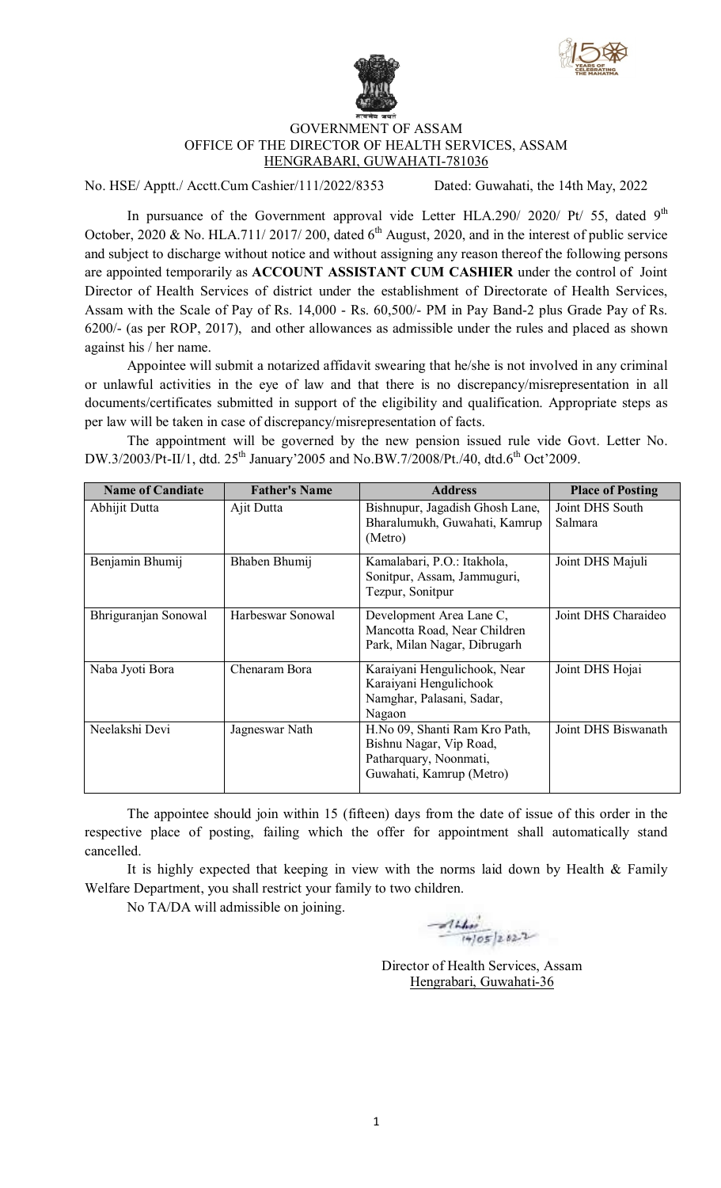



## GOVERNMENT OF ASSAM OFFICE OF THE DIRECTOR OF HEALTH SERVICES, ASSAM HENGRABARI, GUWAHATI-781036

No. HSE/ Apptt./ Acctt.Cum Cashier/111/2022/8353 Dated: Guwahati, the 14th May, 2022

In pursuance of the Government approval vide Letter HLA.290/ 2020/ Pt/ 55, dated  $9<sup>th</sup>$ October, 2020 & No. HLA.711/ 2017/ 200, dated  $6<sup>th</sup>$  August, 2020, and in the interest of public service and subject to discharge without notice and without assigning any reason thereof the following persons are appointed temporarily as **ACCOUNT ASSISTANT CUM CASHIER** under the control of Joint Director of Health Services of district under the establishment of Directorate of Health Services, Assam with the Scale of Pay of Rs. 14,000 - Rs. 60,500/- PM in Pay Band-2 plus Grade Pay of Rs. 6200/- (as per ROP, 2017), and other allowances as admissible under the rules and placed as shown against his / her name.

Appointee will submit a notarized affidavit swearing that he/she is not involved in any criminal or unlawful activities in the eye of law and that there is no discrepancy/misrepresentation in all documents/certificates submitted in support of the eligibility and qualification. Appropriate steps as per law will be taken in case of discrepancy/misrepresentation of facts.

The appointment will be governed by the new pension issued rule vide Govt. Letter No. DW.3/2003/Pt-II/1, dtd. 25<sup>th</sup> January'2005 and No.BW.7/2008/Pt./40, dtd.6<sup>th</sup> Oct'2009.

| <b>Name of Candiate</b> | <b>Father's Name</b> | <b>Address</b>                                                                                                 | <b>Place of Posting</b>    |
|-------------------------|----------------------|----------------------------------------------------------------------------------------------------------------|----------------------------|
| Abhijit Dutta           | Ajit Dutta           | Bishnupur, Jagadish Ghosh Lane,<br>Bharalumukh, Guwahati, Kamrup<br>(Metro)                                    | Joint DHS South<br>Salmara |
| Benjamin Bhumij         | Bhaben Bhumij        | Kamalabari, P.O.: Itakhola,<br>Sonitpur, Assam, Jammuguri,<br>Tezpur, Sonitpur                                 | Joint DHS Majuli           |
| Bhriguranjan Sonowal    | Harbeswar Sonowal    | Development Area Lane C,<br>Mancotta Road, Near Children<br>Park, Milan Nagar, Dibrugarh                       | Joint DHS Charaideo        |
| Naba Jyoti Bora         | Chenaram Bora        | Karaiyani Hengulichook, Near<br>Karaiyani Hengulichook<br>Namghar, Palasani, Sadar,<br>Nagaon                  | Joint DHS Hojai            |
| Neelakshi Devi          | Jagneswar Nath       | H.No 09, Shanti Ram Kro Path,<br>Bishnu Nagar, Vip Road,<br>Patharquary, Noonmati,<br>Guwahati, Kamrup (Metro) | Joint DHS Biswanath        |

The appointee should join within 15 (fifteen) days from the date of issue of this order in the respective place of posting, failing which the offer for appointment shall automatically stand cancelled.

It is highly expected that keeping in view with the norms laid down by Health  $&$  Family Welfare Department, you shall restrict your family to two children.

No TA/DA will admissible on joining.

 $414.60$ 

Director of Health Services, Assam Hengrabari, Guwahati-36